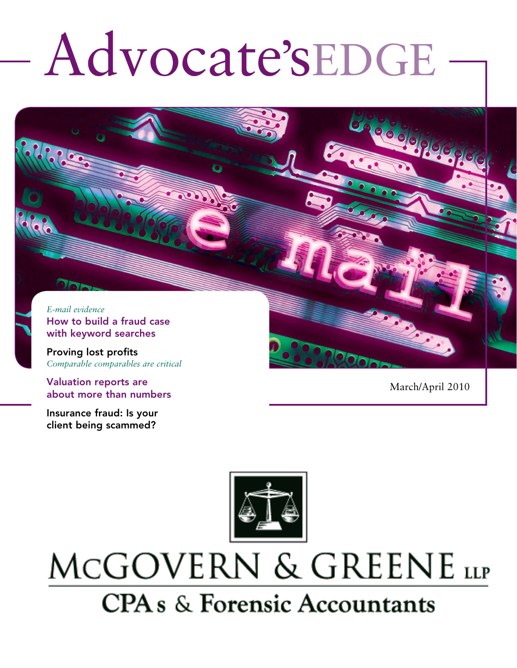# Advocate'sEDGE

*E-mail evidence* How to build a fraud case with keyword searches

Proving lost profits *Comparable comparables are critical*

Valuation reports are about more than numbers

Insurance fraud: Is your client being scammed?

March/April 2010



# MCGOVERN & GREENE LLP **CPA** s & Forensic Accountants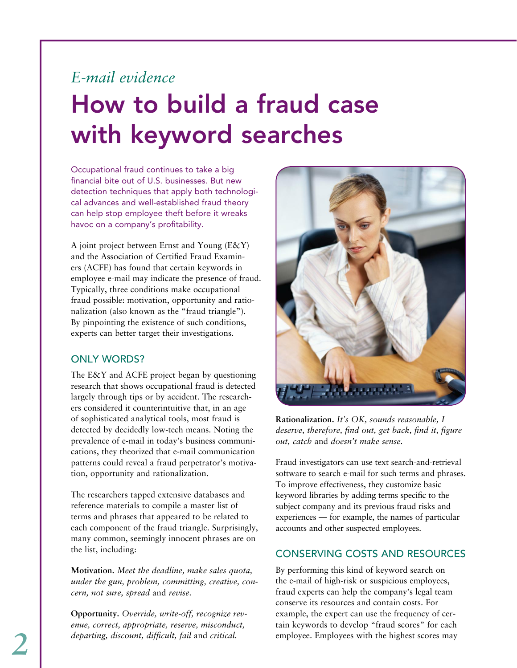## *E-mail evidence* How to build a fraud case with keyword searches

Occupational fraud continues to take a big financial bite out of U.S. businesses. But new detection techniques that apply both technological advances and well-established fraud theory can help stop employee theft before it wreaks havoc on a company's profitability.

A joint project between Ernst and Young (E&Y) and the Association of Certified Fraud Examiners (ACFE) has found that certain keywords in employee e-mail may indicate the presence of fraud. Typically, three conditions make occupational fraud possible: motivation, opportunity and rationalization (also known as the "fraud triangle"). By pinpointing the existence of such conditions, experts can better target their investigations.

#### ONI Y WORDS?

The E&Y and ACFE project began by questioning research that shows occupational fraud is detected largely through tips or by accident. The researchers considered it counterintuitive that, in an age of sophisticated analytical tools, most fraud is detected by decidedly low-tech means. Noting the prevalence of e-mail in today's business communications, they theorized that e-mail communication patterns could reveal a fraud perpetrator's motivation, opportunity and rationalization.

The researchers tapped extensive databases and reference materials to compile a master list of terms and phrases that appeared to be related to each component of the fraud triangle. Surprisingly, many common, seemingly innocent phrases are on the list, including:

**Motivation.** *Meet the deadline, make sales quota, under the gun, problem, committing, creative, concern, not sure, spread* and *revise.*

**Opportunity.** *Override, write-off, recognize revenue, correct, appropriate, reserve, misconduct, departing, discount, difficult, fail* and *critical.*



**Rationalization.** *It's OK, sounds reasonable, I deserve, therefore, find out, get back, find it, figure out, catch* and *doesn't make sense.*

Fraud investigators can use text search-and-retrieval software to search e-mail for such terms and phrases. To improve effectiveness, they customize basic keyword libraries by adding terms specific to the subject company and its previous fraud risks and experiences — for example, the names of particular accounts and other suspected employees.

#### Conserving costs and resources

By performing this kind of keyword search on the e-mail of high-risk or suspicious employees, fraud experts can help the company's legal team conserve its resources and contain costs. For example, the expert can use the frequency of certain keywords to develop "fraud scores" for each employee. Employees with the highest scores may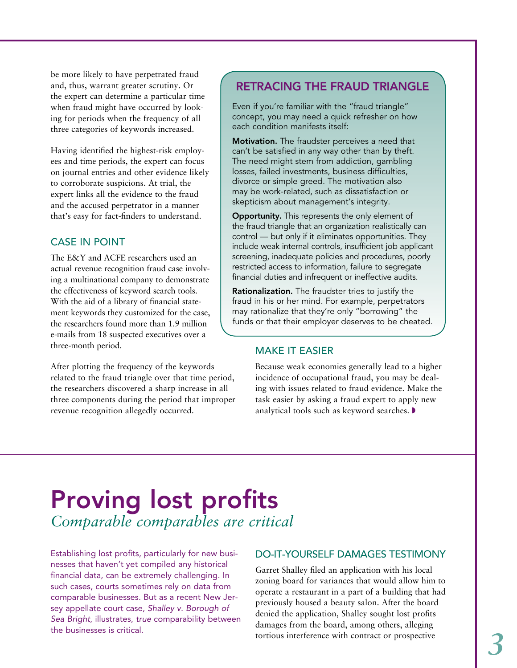be more likely to have perpetrated fraud and, thus, warrant greater scrutiny. Or the expert can determine a particular time when fraud might have occurred by looking for periods when the frequency of all three categories of keywords increased.

Having identified the highest-risk employees and time periods, the expert can focus on journal entries and other evidence likely to corroborate suspicions. At trial, the expert links all the evidence to the fraud and the accused perpetrator in a manner that's easy for fact-finders to understand.

#### Case in point

The E&Y and ACFE researchers used an actual revenue recognition fraud case involving a multinational company to demonstrate the effectiveness of keyword search tools. With the aid of a library of financial statement keywords they customized for the case, the researchers found more than 1.9 million e-mails from 18 suspected executives over a three-month period.

After plotting the frequency of the keywords related to the fraud triangle over that time period, the researchers discovered a sharp increase in all three components during the period that improper revenue recognition allegedly occurred.

#### Retracing the fraud triangle

Even if you're familiar with the "fraud triangle" concept, you may need a quick refresher on how each condition manifests itself:

Motivation. The fraudster perceives a need that can't be satisfied in any way other than by theft. The need might stem from addiction, gambling losses, failed investments, business difficulties, divorce or simple greed. The motivation also may be work-related, such as dissatisfaction or skepticism about management's integrity.

**Opportunity.** This represents the only element of the fraud triangle that an organization realistically can control — but only if it eliminates opportunities. They include weak internal controls, insufficient job applicant screening, inadequate policies and procedures, poorly restricted access to information, failure to segregate financial duties and infrequent or ineffective audits.

Rationalization. The fraudster tries to justify the fraud in his or her mind. For example, perpetrators may rationalize that they're only "borrowing" the funds or that their employer deserves to be cheated.

#### Make it easier

Because weak economies generally lead to a higher incidence of occupational fraud, you may be dealing with issues related to fraud evidence. Make the task easier by asking a fraud expert to apply new analytical tools such as keyword searches.  $\blacktriangleright$ 

### Proving lost profits *Comparable comparables are critical*

Establishing lost profits, particularly for new businesses that haven't yet compiled any historical financial data, can be extremely challenging. In such cases, courts sometimes rely on data from comparable businesses. But as a recent New Jersey appellate court case, *Shalley v. Borough of Sea Bright*, illustrates, *true* comparability between the businesses is critical.

#### DO-IT-YOURSELF DAMAGES TESTIMONY

Garret Shalley filed an application with his local zoning board for variances that would allow him to operate a restaurant in a part of a building that had previously housed a beauty salon. After the board denied the application, Shalley sought lost profits damages from the board, among others, alleging tortious interference with contract or prospective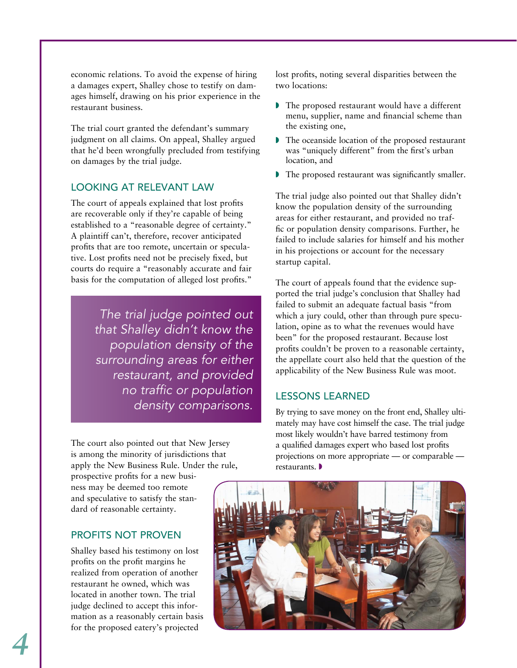economic relations. To avoid the expense of hiring a damages expert, Shalley chose to testify on damages himself, drawing on his prior experience in the restaurant business.

The trial court granted the defendant's summary judgment on all claims. On appeal, Shalley argued that he'd been wrongfully precluded from testifying on damages by the trial judge.

#### Looking at relevant law

The court of appeals explained that lost profits are recoverable only if they're capable of being established to a "reasonable degree of certainty." A plaintiff can't, therefore, recover anticipated profits that are too remote, uncertain or speculative. Lost profits need not be precisely fixed, but courts do require a "reasonably accurate and fair basis for the computation of alleged lost profits."

> *The trial judge pointed out that Shalley didn't know the population density of the surrounding areas for either restaurant, and provided no traffic or population density comparisons.*

The court also pointed out that New Jersey is among the minority of jurisdictions that apply the New Business Rule. Under the rule,

prospective profits for a new business may be deemed too remote and speculative to satisfy the standard of reasonable certainty.

#### PROFITS NOT PROVEN

Shalley based his testimony on lost profits on the profit margins he realized from operation of another restaurant he owned, which was located in another town. The trial judge declined to accept this information as a reasonably certain basis for the proposed eatery's projected

lost profits, noting several disparities between the two locations:

- $\triangleright$  The proposed restaurant would have a different menu, supplier, name and financial scheme than the existing one,
- $\triangleright$  The oceanside location of the proposed restaurant was "uniquely different" from the first's urban location, and
- $\blacktriangleright$  The proposed restaurant was significantly smaller.

The trial judge also pointed out that Shalley didn't know the population density of the surrounding areas for either restaurant, and provided no traffic or population density comparisons. Further, he failed to include salaries for himself and his mother in his projections or account for the necessary startup capital.

The court of appeals found that the evidence supported the trial judge's conclusion that Shalley had failed to submit an adequate factual basis "from which a jury could, other than through pure speculation, opine as to what the revenues would have been" for the proposed restaurant. Because lost profits couldn't be proven to a reasonable certainty, the appellate court also held that the question of the applicability of the New Business Rule was moot.

#### Lessons learned

By trying to save money on the front end, Shalley ultimately may have cost himself the case. The trial judge most likely wouldn't have barred testimony from a qualified damages expert who based lost profits projections on more appropriate — or comparable restaurants.  $\blacktriangleright$ 

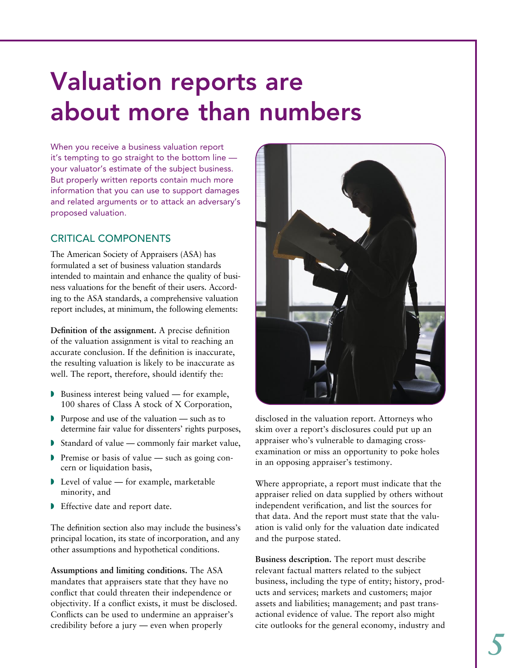# Valuation reports are about more than numbers

When you receive a business valuation report it's tempting to go straight to the bottom line your valuator's estimate of the subject business. But properly written reports contain much more information that you can use to support damages and related arguments or to attack an adversary's proposed valuation.

#### CRITICAL COMPONENTS

The American Society of Appraisers (ASA) has formulated a set of business valuation standards intended to maintain and enhance the quality of business valuations for the benefit of their users. According to the ASA standards, a comprehensive valuation report includes, at minimum, the following elements:

**Definition of the assignment.** A precise definition of the valuation assignment is vital to reaching an accurate conclusion. If the definition is inaccurate, the resulting valuation is likely to be inaccurate as well. The report, therefore, should identify the:

- $\triangleright$  Business interest being valued for example, 100 shares of Class A stock of X Corporation,
- $\triangleright$  Purpose and use of the valuation such as to determine fair value for dissenters' rights purposes,
- Standard of value commonly fair market value,
- $\triangleright$  Premise or basis of value such as going concern or liquidation basis,
- $\blacktriangleright$  Level of value for example, marketable minority, and
- $\blacktriangleright$  Effective date and report date.

The definition section also may include the business's principal location, its state of incorporation, and any other assumptions and hypothetical conditions.

**Assumptions and limiting conditions.** The ASA mandates that appraisers state that they have no conflict that could threaten their independence or objectivity. If a conflict exists, it must be disclosed. Conflicts can be used to undermine an appraiser's credibility before a jury — even when properly



disclosed in the valuation report. Attorneys who skim over a report's disclosures could put up an appraiser who's vulnerable to damaging crossexamination or miss an opportunity to poke holes in an opposing appraiser's testimony.

Where appropriate, a report must indicate that the appraiser relied on data supplied by others without independent verification, and list the sources for that data. And the report must state that the valuation is valid only for the valuation date indicated and the purpose stated.

**Business description.** The report must describe relevant factual matters related to the subject business, including the type of entity; history, products and services; markets and customers; major assets and liabilities; management; and past transactional evidence of value. The report also might cite outlooks for the general economy, industry and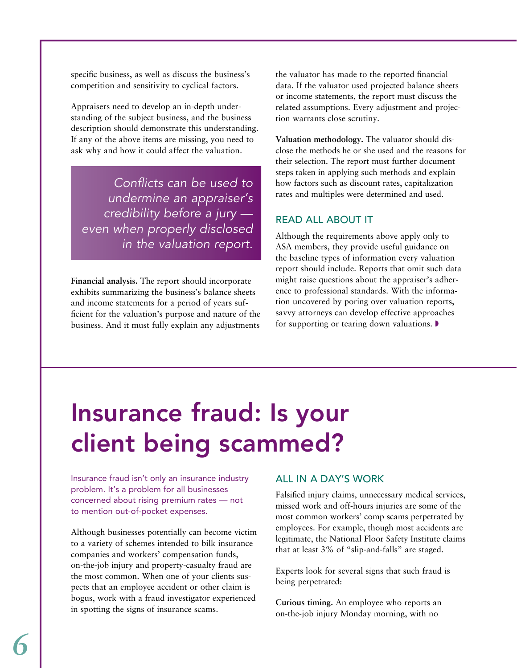specific business, as well as discuss the business's competition and sensitivity to cyclical factors.

Appraisers need to develop an in-depth understanding of the subject business, and the business description should demonstrate this understanding. If any of the above items are missing, you need to ask why and how it could affect the valuation.

*Conflicts can be used to undermine an appraiser's credibility before a jury even when properly disclosed in the valuation report.*

**Financial analysis.** The report should incorporate exhibits summarizing the business's balance sheets and income statements for a period of years sufficient for the valuation's purpose and nature of the business. And it must fully explain any adjustments the valuator has made to the reported financial data. If the valuator used projected balance sheets or income statements, the report must discuss the related assumptions. Every adjustment and projection warrants close scrutiny.

**Valuation methodology.** The valuator should disclose the methods he or she used and the reasons for their selection. The report must further document steps taken in applying such methods and explain how factors such as discount rates, capitalization rates and multiples were determined and used.

#### Read all about it

Although the requirements above apply only to ASA members, they provide useful guidance on the baseline types of information every valuation report should include. Reports that omit such data might raise questions about the appraiser's adherence to professional standards. With the information uncovered by poring over valuation reports, savvy attorneys can develop effective approaches for supporting or tearing down valuations.  $\blacktriangleright$ 

# Insurance fraud: Is your client being scammed?

Insurance fraud isn't only an insurance industry problem. It's a problem for all businesses concerned about rising premium rates — not to mention out-of-pocket expenses.

Although businesses potentially can become victim to a variety of schemes intended to bilk insurance companies and workers' compensation funds, on-the-job injury and property-casualty fraud are the most common. When one of your clients suspects that an employee accident or other claim is bogus, work with a fraud investigator experienced in spotting the signs of insurance scams.

#### All in a day's work

Falsified injury claims, unnecessary medical services, missed work and off-hours injuries are some of the most common workers' comp scams perpetrated by employees. For example, though most accidents are legitimate, the National Floor Safety Institute claims that at least 3% of "slip-and-falls" are staged.

Experts look for several signs that such fraud is being perpetrated:

**Curious timing.** An employee who reports an on-the-job injury Monday morning, with no